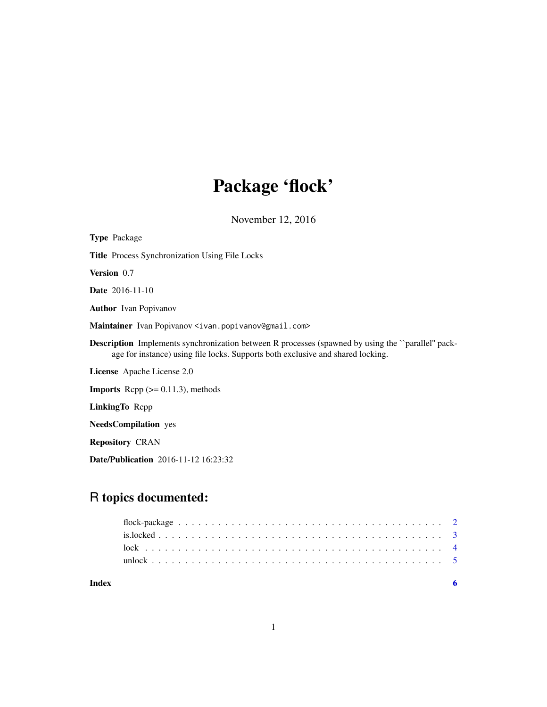# Package 'flock'

November 12, 2016

| <b>Type Package</b>                                                                                                                                                                         |
|---------------------------------------------------------------------------------------------------------------------------------------------------------------------------------------------|
| <b>Title</b> Process Synchronization Using File Locks                                                                                                                                       |
| <b>Version</b> 0.7                                                                                                                                                                          |
| <b>Date</b> 2016-11-10                                                                                                                                                                      |
| <b>Author</b> Ivan Popivanov                                                                                                                                                                |
| Maintainer Ivan Popivanov <ivan.popivanov@gmail.com></ivan.popivanov@gmail.com>                                                                                                             |
| <b>Description</b> Implements synchronization between R processes (spawned by using the "parallel" pack-<br>age for instance) using file locks. Supports both exclusive and shared locking. |
| <b>License</b> Apache License 2.0                                                                                                                                                           |
| <b>Imports</b> Repp $(>= 0.11.3)$ , methods                                                                                                                                                 |
| LinkingTo Repp                                                                                                                                                                              |
| <b>NeedsCompilation</b> yes                                                                                                                                                                 |
| <b>Repository CRAN</b>                                                                                                                                                                      |
| <b>Date/Publication</b> 2016-11-12 16:23:32                                                                                                                                                 |

# R topics documented:

| Index |  |  |  |  |  |  |  |  |  |  |  |  |  |  |  |  |  |  |
|-------|--|--|--|--|--|--|--|--|--|--|--|--|--|--|--|--|--|--|
|       |  |  |  |  |  |  |  |  |  |  |  |  |  |  |  |  |  |  |
|       |  |  |  |  |  |  |  |  |  |  |  |  |  |  |  |  |  |  |
|       |  |  |  |  |  |  |  |  |  |  |  |  |  |  |  |  |  |  |
|       |  |  |  |  |  |  |  |  |  |  |  |  |  |  |  |  |  |  |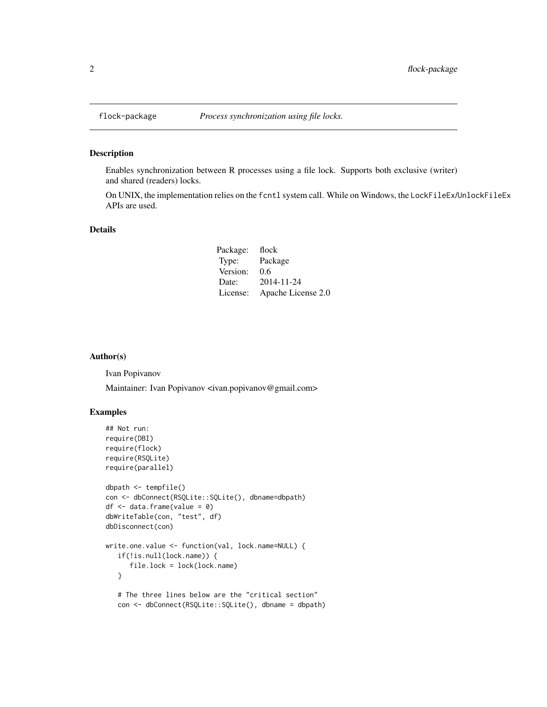<span id="page-1-0"></span>

#### Description

Enables synchronization between R processes using a file lock. Supports both exclusive (writer) and shared (readers) locks.

On UNIX, the implementation relies on the fcntl system call. While on Windows, the LockFileEx/UnlockFileEx APIs are used.

#### Details

| Package: | flock              |
|----------|--------------------|
| Type:    | Package            |
| Version: | 0.6                |
| Date:    | 2014-11-24         |
| License: | Apache License 2.0 |

#### Author(s)

Ivan Popivanov

Maintainer: Ivan Popivanov <ivan.popivanov@gmail.com>

# Examples

```
## Not run:
require(DBI)
require(flock)
require(RSQLite)
require(parallel)
dbpath <- tempfile()
con <- dbConnect(RSQLite::SQLite(), dbname=dbpath)
df \leftarrow data-frame(value = 0)dbWriteTable(con, "test", df)
dbDisconnect(con)
write.one.value <- function(val, lock.name=NULL) {
   if(!is.null(lock.name)) {
      file.lock = lock(lock.name)
  }
  # The three lines below are the "critical section"
  con <- dbConnect(RSQLite::SQLite(), dbname = dbpath)
```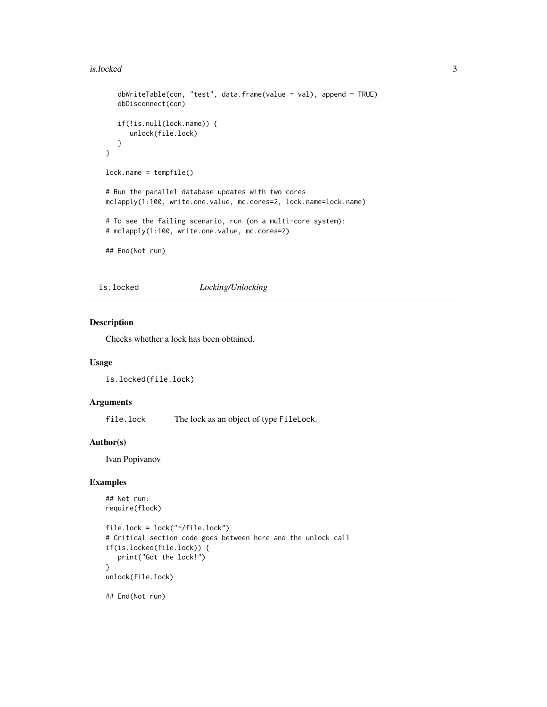#### <span id="page-2-0"></span>is.locked 3

```
dbWriteTable(con, "test", data.frame(value = val), append = TRUE)
   dbDisconnect(con)
   if(!is.null(lock.name)) {
      unlock(file.lock)
   }
}
lock.name = tempfile()
# Run the parallel database updates with two cores
mclapply(1:100, write.one.value, mc.cores=2, lock.name=lock.name)
# To see the failing scenario, run (on a multi-core system):
# mclapply(1:100, write.one.value, mc.cores=2)
## End(Not run)
```
is.locked *Locking/Unlocking*

#### Description

Checks whether a lock has been obtained.

#### Usage

is.locked(file.lock)

#### Arguments

file.lock The lock as an object of type FileLock.

#### Author(s)

Ivan Popivanov

#### Examples

```
## Not run:
require(flock)
file.lock = lock("~/file.lock")
# Critical section code goes between here and the unlock call
if(is.locked(file.lock)) {
  print("Got the lock!")
}
unlock(file.lock)
## End(Not run)
```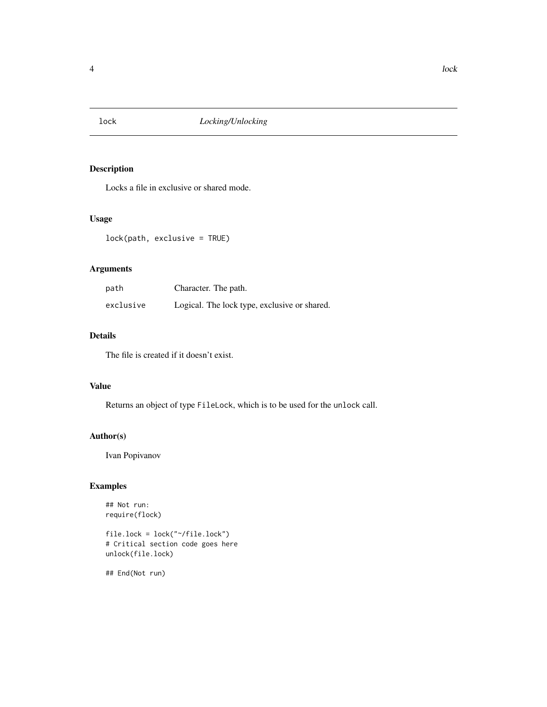<span id="page-3-1"></span><span id="page-3-0"></span>

# Description

Locks a file in exclusive or shared mode.

# Usage

lock(path, exclusive = TRUE)

# Arguments

| path      | Character. The path.                         |
|-----------|----------------------------------------------|
| exclusive | Logical. The lock type, exclusive or shared. |

# Details

The file is created if it doesn't exist.

#### Value

Returns an object of type FileLock, which is to be used for the unlock call.

# Author(s)

Ivan Popivanov

# Examples

## Not run: require(flock)

file.lock = lock("~/file.lock") # Critical section code goes here unlock(file.lock)

## End(Not run)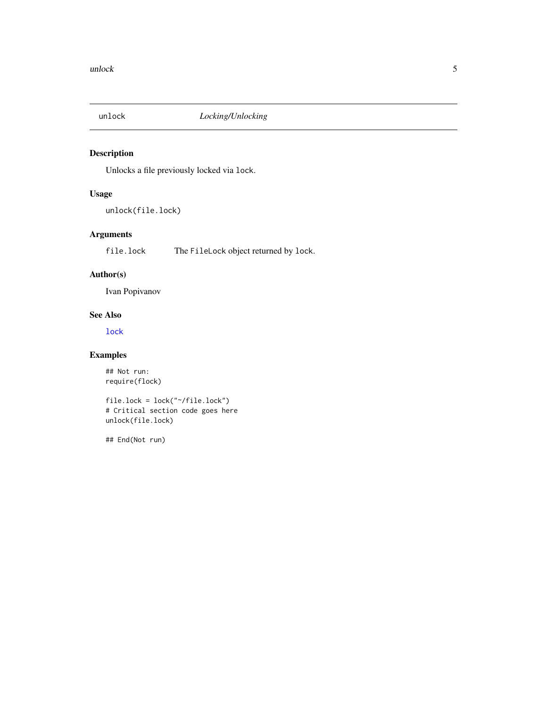<span id="page-4-0"></span>

# Description

Unlocks a file previously locked via lock.

# Usage

unlock(file.lock)

# Arguments

file.lock The FileLock object returned by lock.

# Author(s)

Ivan Popivanov

# See Also

[lock](#page-3-1)

# Examples

## Not run: require(flock)

file.lock = lock("~/file.lock") # Critical section code goes here unlock(file.lock)

## End(Not run)